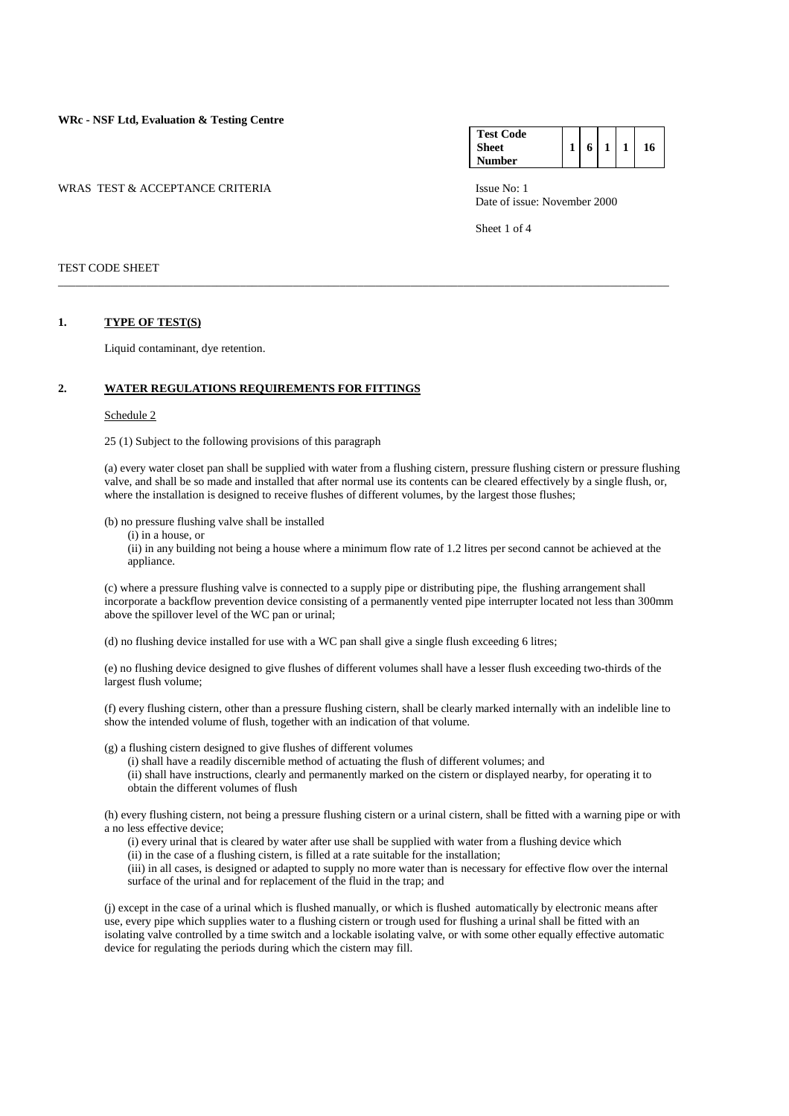**WRc - NSF Ltd, Evaluation & Testing Centre** 

WRAS TEST & ACCEPTANCE CRITERIA **ISSUE NO:** 1 SSUE No: 1

| <b>Test Code</b> |  |  |    |
|------------------|--|--|----|
| <b>Sheet</b>     |  |  | 16 |
| Number           |  |  |    |

Date of issue: November 2000

Sheet 1 of 4

## TEST CODE SHEET

### **1. TYPE OF TEST(S)**

Liquid contaminant, dye retention.

### **2. WATER REGULATIONS REQUIREMENTS FOR FITTINGS**

#### Schedule 2

25 (1) Subject to the following provisions of this paragraph

(a) every water closet pan shall be supplied with water from a flushing cistern, pressure flushing cistern or pressure flushing valve, and shall be so made and installed that after normal use its contents can be cleared effectively by a single flush, or, where the installation is designed to receive flushes of different volumes, by the largest those flushes;

\_\_\_\_\_\_\_\_\_\_\_\_\_\_\_\_\_\_\_\_\_\_\_\_\_\_\_\_\_\_\_\_\_\_\_\_\_\_\_\_\_\_\_\_\_\_\_\_\_\_\_\_\_\_\_\_\_\_\_\_\_\_\_\_\_\_\_\_\_\_\_\_\_\_\_\_\_\_\_\_\_\_\_\_\_\_\_\_\_\_\_\_\_\_\_\_\_\_\_\_\_\_\_\_

(b) no pressure flushing valve shall be installed

(i) in a house, or

 (ii) in any building not being a house where a minimum flow rate of 1.2 litres per second cannot be achieved at the appliance.

 (c) where a pressure flushing valve is connected to a supply pipe or distributing pipe, the flushing arrangement shall incorporate a backflow prevention device consisting of a permanently vented pipe interrupter located not less than 300mm above the spillover level of the WC pan or urinal;

(d) no flushing device installed for use with a WC pan shall give a single flush exceeding 6 litres;

(e) no flushing device designed to give flushes of different volumes shall have a lesser flush exceeding two-thirds of the largest flush volume;

(f) every flushing cistern, other than a pressure flushing cistern, shall be clearly marked internally with an indelible line to show the intended volume of flush, together with an indication of that volume.

(g) a flushing cistern designed to give flushes of different volumes

(i) shall have a readily discernible method of actuating the flush of different volumes; and

 (ii) shall have instructions, clearly and permanently marked on the cistern or displayed nearby, for operating it to obtain the different volumes of flush

(h) every flushing cistern, not being a pressure flushing cistern or a urinal cistern, shall be fitted with a warning pipe or with a no less effective device;

(i) every urinal that is cleared by water after use shall be supplied with water from a flushing device which (ii) in the case of a flushing cistern, is filled at a rate suitable for the installation;

(iii) in all cases, is designed or adapted to supply no more water than is necessary for effective flow over the internal surface of the urinal and for replacement of the fluid in the trap; and

(j) except in the case of a urinal which is flushed manually, or which is flushed automatically by electronic means after use, every pipe which supplies water to a flushing cistern or trough used for flushing a urinal shall be fitted with an isolating valve controlled by a time switch and a lockable isolating valve, or with some other equally effective automatic device for regulating the periods during which the cistern may fill.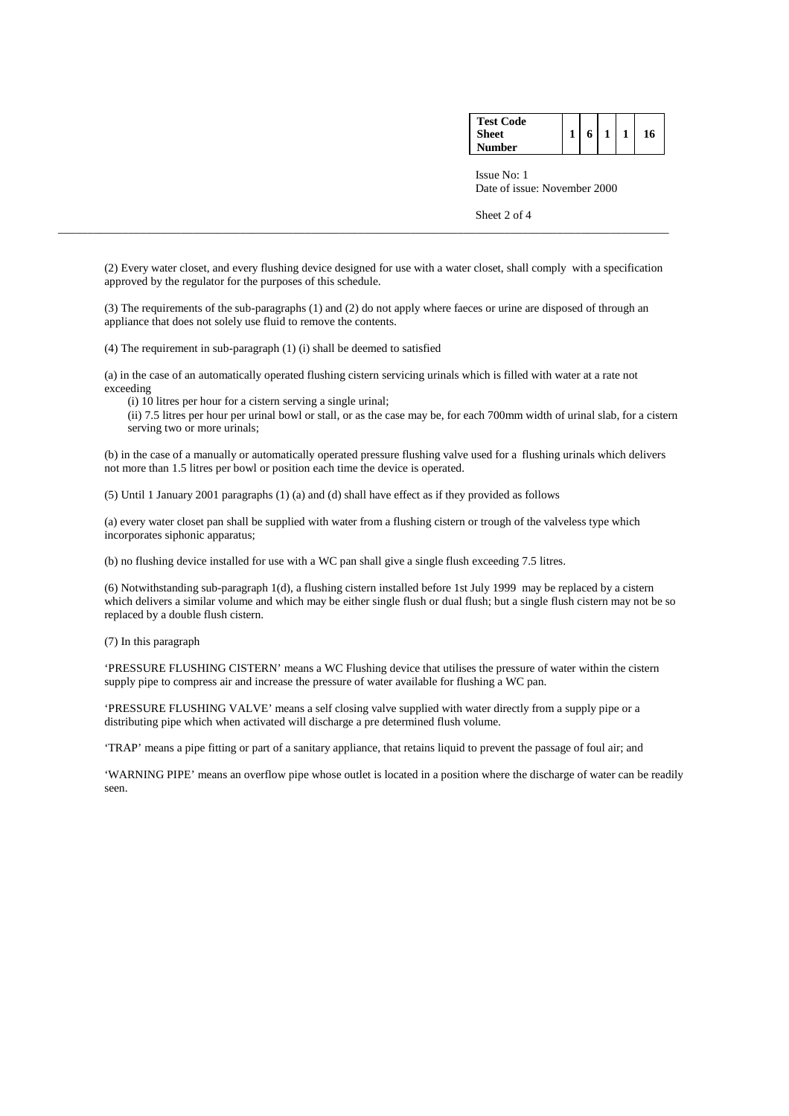| <b>Test Code</b> |     |                |              |    |
|------------------|-----|----------------|--------------|----|
| <b>Sheet</b>     | 6 I | 1 <sup>1</sup> | $\mathbf{1}$ | 16 |
| Number           |     |                |              |    |

 Issue No: 1 Date of issue: November 2000

Sheet 2 of 4

(2) Every water closet, and every flushing device designed for use with a water closet, shall comply with a specification approved by the regulator for the purposes of this schedule.

\_\_\_\_\_\_\_\_\_\_\_\_\_\_\_\_\_\_\_\_\_\_\_\_\_\_\_\_\_\_\_\_\_\_\_\_\_\_\_\_\_\_\_\_\_\_\_\_\_\_\_\_\_\_\_\_\_\_\_\_\_\_\_\_\_\_\_\_\_\_\_\_\_\_\_\_\_\_\_\_\_\_\_\_\_\_\_\_\_\_\_\_\_\_\_\_\_\_\_\_\_\_\_\_

(3) The requirements of the sub-paragraphs (1) and (2) do not apply where faeces or urine are disposed of through an appliance that does not solely use fluid to remove the contents.

(4) The requirement in sub-paragraph (1) (i) shall be deemed to satisfied

(a) in the case of an automatically operated flushing cistern servicing urinals which is filled with water at a rate not exceeding

(i) 10 litres per hour for a cistern serving a single urinal;

 (ii) 7.5 litres per hour per urinal bowl or stall, or as the case may be, for each 700mm width of urinal slab, for a cistern serving two or more urinals;

(b) in the case of a manually or automatically operated pressure flushing valve used for a flushing urinals which delivers not more than 1.5 litres per bowl or position each time the device is operated.

(5) Until 1 January 2001 paragraphs (1) (a) and (d) shall have effect as if they provided as follows

(a) every water closet pan shall be supplied with water from a flushing cistern or trough of the valveless type which incorporates siphonic apparatus;

(b) no flushing device installed for use with a WC pan shall give a single flush exceeding 7.5 litres.

(6) Notwithstanding sub-paragraph 1(d), a flushing cistern installed before 1st July 1999 may be replaced by a cistern which delivers a similar volume and which may be either single flush or dual flush; but a single flush cistern may not be so replaced by a double flush cistern.

(7) In this paragraph

'PRESSURE FLUSHING CISTERN' means a WC Flushing device that utilises the pressure of water within the cistern supply pipe to compress air and increase the pressure of water available for flushing a WC pan.

'PRESSURE FLUSHING VALVE' means a self closing valve supplied with water directly from a supply pipe or a distributing pipe which when activated will discharge a pre determined flush volume.

'TRAP' means a pipe fitting or part of a sanitary appliance, that retains liquid to prevent the passage of foul air; and

'WARNING PIPE' means an overflow pipe whose outlet is located in a position where the discharge of water can be readily seen.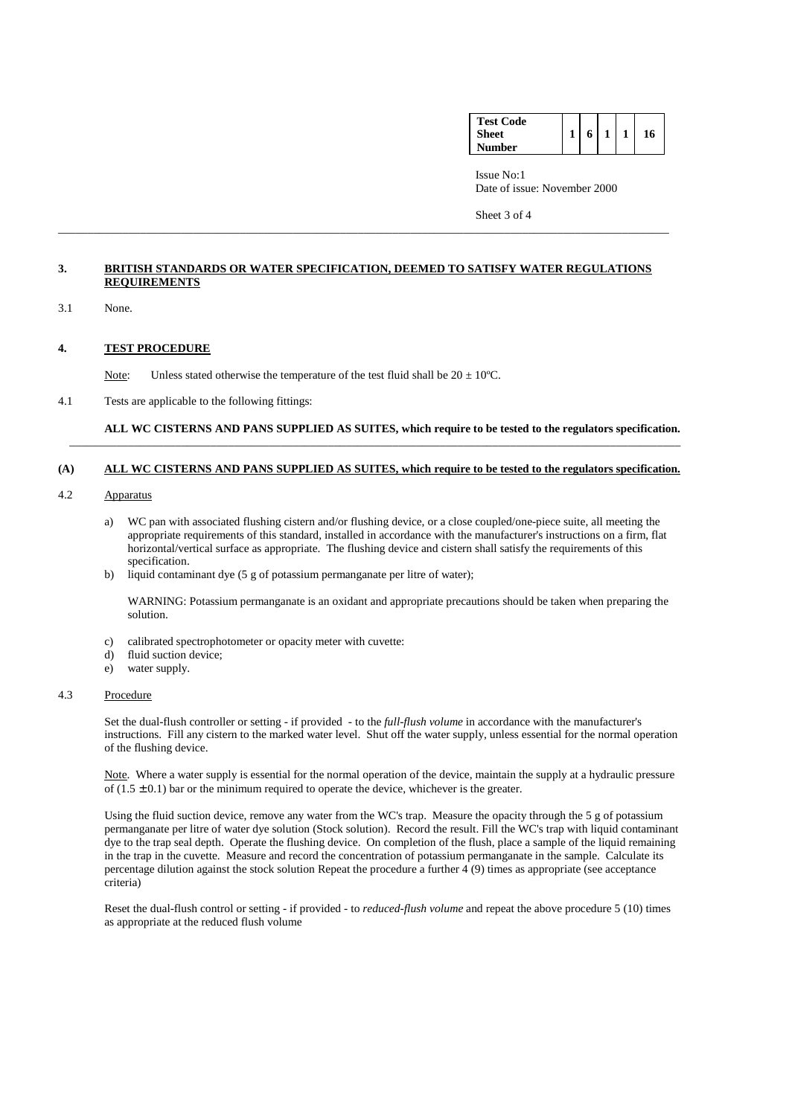| <b>Test Code</b> |  |  |    |
|------------------|--|--|----|
| <b>Sheet</b>     |  |  | 16 |
| <b>Number</b>    |  |  |    |

 Issue No:1 Date of issue: November 2000

Sheet 3 of 4

# **3. BRITISH STANDARDS OR WATER SPECIFICATION, DEEMED TO SATISFY WATER REGULATIONS REQUIREMENTS**

\_\_\_\_\_\_\_\_\_\_\_\_\_\_\_\_\_\_\_\_\_\_\_\_\_\_\_\_\_\_\_\_\_\_\_\_\_\_\_\_\_\_\_\_\_\_\_\_\_\_\_\_\_\_\_\_\_\_\_\_\_\_\_\_\_\_\_\_\_\_\_\_\_\_\_\_\_\_\_\_\_\_\_\_\_\_\_\_\_\_\_\_\_\_\_\_\_\_\_\_\_\_\_\_

### 3.1 None.

## **4. TEST PROCEDURE**

Note: Unless stated otherwise the temperature of the test fluid shall be  $20 \pm 10^{\circ}$ C.

4.1 Tests are applicable to the following fittings:

**ALL WC CISTERNS AND PANS SUPPLIED AS SUITES, which require to be tested to the regulators specification.** 

## **(A) ALL WC CISTERNS AND PANS SUPPLIED AS SUITES, which require to be tested to the regulators specification.**

\_\_\_\_\_\_\_\_\_\_\_\_\_\_\_\_\_\_\_\_\_\_\_\_\_\_\_\_\_\_\_\_\_\_\_\_\_\_\_\_\_\_\_\_\_\_\_\_\_\_\_\_\_\_\_\_\_\_\_\_\_\_\_\_\_\_\_\_\_\_\_\_\_\_\_\_\_\_\_\_\_\_\_\_\_\_\_\_\_\_\_\_\_\_\_\_\_\_\_\_\_\_\_\_

#### 4.2 Apparatus

- a) WC pan with associated flushing cistern and/or flushing device, or a close coupled/one-piece suite, all meeting the appropriate requirements of this standard, installed in accordance with the manufacturer's instructions on a firm, flat horizontal/vertical surface as appropriate. The flushing device and cistern shall satisfy the requirements of this specification.
- b) liquid contaminant dye (5 g of potassium permanganate per litre of water);

WARNING: Potassium permanganate is an oxidant and appropriate precautions should be taken when preparing the solution.

- c) calibrated spectrophotometer or opacity meter with cuvette:
- d) fluid suction device;
- e) water supply.

### 4.3 Procedure

Set the dual-flush controller or setting - if provided - to the *full-flush volume* in accordance with the manufacturer's instructions. Fill any cistern to the marked water level. Shut off the water supply, unless essential for the normal operation of the flushing device.

Note. Where a water supply is essential for the normal operation of the device, maintain the supply at a hydraulic pressure of  $(1.5 \pm 0.1)$  bar or the minimum required to operate the device, whichever is the greater.

Using the fluid suction device, remove any water from the WC's trap. Measure the opacity through the 5 g of potassium permanganate per litre of water dye solution (Stock solution). Record the result. Fill the WC's trap with liquid contaminant dye to the trap seal depth. Operate the flushing device. On completion of the flush, place a sample of the liquid remaining in the trap in the cuvette. Measure and record the concentration of potassium permanganate in the sample. Calculate its percentage dilution against the stock solution Repeat the procedure a further 4 (9) times as appropriate (see acceptance criteria)

Reset the dual-flush control or setting - if provided - to *reduced-flush volume* and repeat the above procedure 5 (10) times as appropriate at the reduced flush volume